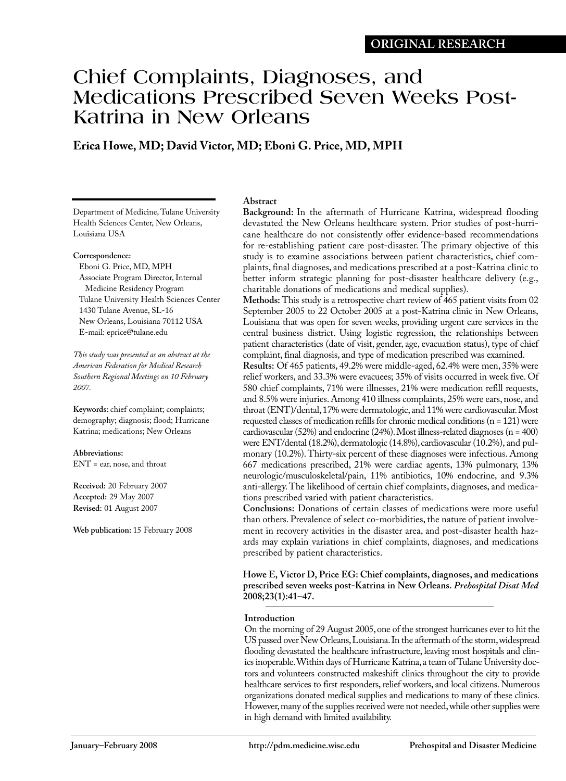# **Chief Complaints, Diagnoses, and Medications Prescribed Seven Weeks Post-Katrina in New Orleans**

## **Erica Howe, MD; David Victor, MD; Eboni G. Price, MD, MPH**

Department of Medicine, Tulane University Health Sciences Center, New Orleans, Louisiana USA

#### **Correspondence:**

Eboni G. Price, MD, MPH Associate Program Director, Internal Medicine Residency Program Tulane University Health Sciences Center 1430 Tulane Avenue, SL-16 New Orleans, Louisiana 70112 USA E-mail: eprice@tulane.edu

*This study was presented as an abstract at the American Federation for Medical Research Southern Regional Meetings on 10 February 2007.*

**Keywords:** chief complaint; complaints; demography; diagnosis; flood; Hurricane Katrina; medications; New Orleans

**Abbreviations:** ENT = ear, nose, and throat

**Received:** 20 February 2007 **Accepted:** 29 May 2007 **Revised:** 01 August 2007

**Web publication:** 15 February 2008

## **Abstract**

**Background:** In the aftermath of Hurricane Katrina, widespread flooding devastated the New Orleans healthcare system. Prior studies of post-hurricane healthcare do not consistently offer evidence-based recommendations for re-establishing patient care post-disaster. The primary objective of this study is to examine associations between patient characteristics, chief complaints, final diagnoses, and medications prescribed at a post-Katrina clinic to better inform strategic planning for post-disaster healthcare delivery (e.g., charitable donations of medications and medical supplies).

**Methods:** This study is a retrospective chart review of 465 patient visits from 02 September 2005 to 22 October 2005 at a post-Katrina clinic in New Orleans, Louisiana that was open for seven weeks, providing urgent care services in the central business district. Using logistic regression, the relationships between patient characteristics (date of visit, gender, age, evacuation status), type of chief complaint, final diagnosis, and type of medication prescribed was examined.

**Results:** Of 465 patients, 49.2% were middle-aged, 62.4% were men, 35% were relief workers, and 33.3% were evacuees; 35% of visits occurred in week five. Of 580 chief complaints, 71% were illnesses, 21% were medication refill requests, and 8.5% were injuries. Among 410 illness complaints, 25% were ears, nose, and throat (ENT)/dental,17% were dermatologic,and 11% were cardiovascular.Most requested classes of medication refills for chronic medical conditions (n = 121) were cardiovascular (52%) and endocrine (24%). Most illness-related diagnoses ( $n = 400$ ) were ENT/dental (18.2%), dermatologic (14.8%), cardiovascular (10.2%), and pulmonary (10.2%). Thirty-six percent of these diagnoses were infectious. Among 667 medications prescribed, 21% were cardiac agents, 13% pulmonary, 13% neurologic/musculoskeletal/pain, 11% antibiotics, 10% endocrine, and 9.3% anti-allergy. The likelihood of certain chief complaints, diagnoses, and medications prescribed varied with patient characteristics.

**Conclusions:** Donations of certain classes of medications were more useful than others. Prevalence of select co-morbidities, the nature of patient involvement in recovery activities in the disaster area, and post-disaster health hazards may explain variations in chief complaints, diagnoses, and medications prescribed by patient characteristics.

**Howe E, Victor D, Price EG: Chief complaints, diagnoses, and medications prescribed seven weeks post-Katrina in New Orleans.** *Prehospital Disat Med* **2008;23(1):41–47.**

## **Introduction**

On the morning of 29 August 2005,one of the strongest hurricanes ever to hit the US passed over New Orleans,Louisiana.In the aftermath of the storm,widespread flooding devastated the healthcare infrastructure, leaving most hospitals and clinics inoperable. Within days of Hurricane Katrina, a team of Tulane University doctors and volunteers constructed makeshift clinics throughout the city to provide healthcare services to first responders, relief workers, and local citizens. Numerous organizations donated medical supplies and medications to many of these clinics. However,many of the supplies received were not needed,while other supplies were in high demand with limited availability.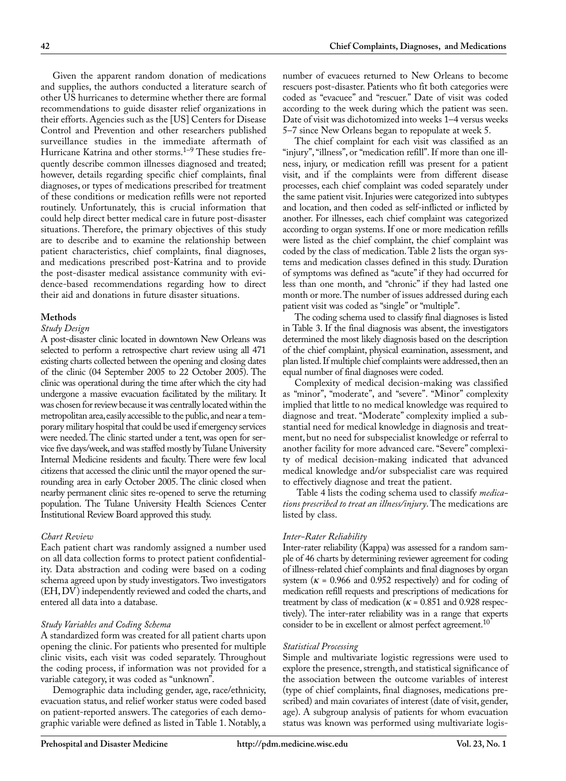Given the apparent random donation of medications and supplies, the authors conducted a literature search of other US hurricanes to determine whether there are formal recommendations to guide disaster relief organizations in their efforts. Agencies such as the [US] Centers for Disease Control and Prevention and other researchers published surveillance studies in the immediate aftermath of Hurricane Katrina and other storms.<sup>1–9</sup> These studies frequently describe common illnesses diagnosed and treated; however, details regarding specific chief complaints, final diagnoses, or types of medications prescribed for treatment of these conditions or medication refills were not reported routinely. Unfortunately, this is crucial information that could help direct better medical care in future post-disaster situations. Therefore, the primary objectives of this study are to describe and to examine the relationship between patient characteristics, chief complaints, final diagnoses, and medications prescribed post-Katrina and to provide the post-disaster medical assistance community with evidence-based recommendations regarding how to direct their aid and donations in future disaster situations.

### **Methods**

#### *Study Design*

A post-disaster clinic located in downtown New Orleans was selected to perform a retrospective chart review using all 471 existing charts collected between the opening and closing dates of the clinic (04 September 2005 to 22 October 2005). The clinic was operational during the time after which the city had undergone a massive evacuation facilitated by the military. It was chosen for reviewbecause it was centrally located within the metropolitan area, easily accessible to the public, and near a temporary military hospital that could be used if emergency services were needed.The clinic started under a tent, was open for service five days/week,and was staffed mostly by Tulane University Internal Medicine residents and faculty. There were few local citizens that accessed the clinic until the mayor opened the surrounding area in early October 2005. The clinic closed when nearby permanent clinic sites re-opened to serve the returning population. The Tulane University Health Sciences Center Institutional Review Board approved this study.

#### *Chart Review*

Each patient chart was randomly assigned a number used on all data collection forms to protect patient confidentiality. Data abstraction and coding were based on a coding schema agreed upon by study investigators.Two investigators (EH, DV) independently reviewed and coded the charts, and entered all data into a database.

### *Study Variables and Coding Schema*

A standardized form was created for all patient charts upon opening the clinic. For patients who presented for multiple clinic visits, each visit was coded separately. Throughout the coding process, if information was not provided for a variable category, it was coded as "unknown".

Demographic data including gender, age, race/ethnicity, evacuation status, and relief worker status were coded based on patient-reported answers. The categories of each demographic variable were defined as listed in Table 1. Notably, a number of evacuees returned to New Orleans to become rescuers post-disaster. Patients who fit both categories were coded as "evacuee" and "rescuer." Date of visit was coded according to the week during which the patient was seen. Date of visit was dichotomized into weeks 1–4 versus weeks 5–7 since New Orleans began to repopulate at week 5.

The chief complaint for each visit was classified as an "injury", "illness", or "medication refill". If more than one illness, injury, or medication refill was present for a patient visit, and if the complaints were from different disease processes, each chief complaint was coded separately under the same patient visit. Injuries were categorized into subtypes and location, and then coded as self-inflicted or inflicted by another. For illnesses, each chief complaint was categorized according to organ systems. If one or more medication refills were listed as the chief complaint, the chief complaint was coded by the class of medication. Table 2 lists the organ systems and medication classes defined in this study. Duration of symptoms was defined as "acute" if they had occurred for less than one month, and "chronic" if they had lasted one month or more.The number of issues addressed during each patient visit was coded as "single" or "multiple".

The coding schema used to classify final diagnoses is listed in Table 3. If the final diagnosis was absent, the investigators determined the most likely diagnosis based on the description of the chief complaint, physical examination, assessment, and plan listed. If multiple chief complaints were addressed, then an equal number of final diagnoses were coded.

Complexity of medical decision-making was classified as "minor", "moderate", and "severe". "Minor" complexity implied that little to no medical knowledge was required to diagnose and treat. "Moderate" complexity implied a substantial need for medical knowledge in diagnosis and treatment, but no need for subspecialist knowledge or referral to another facility for more advanced care. "Severe" complexity of medical decision-making indicated that advanced medical knowledge and/or subspecialist care was required to effectively diagnose and treat the patient.

Table 4 lists the coding schema used to classify *medications prescribed to treat an illness/injury*.The medications are listed by class.

### *Inter-Rater Reliability*

Inter-rater reliability (Kappa) was assessed for a random sample of 46 charts by determining reviewer agreement for coding of illness-related chief complaints and final diagnoses by organ system ( $\kappa$  = 0.966 and 0.952 respectively) and for coding of medication refill requests and prescriptions of medications for treatment by class of medication ( $\kappa$  = 0.851 and 0.928 respectively). The inter-rater reliability was in a range that experts consider to be in excellent or almost perfect agreement.<sup>10</sup>

#### *Statistical Processing*

Simple and multivariate logistic regressions were used to explore the presence, strength, and statistical significance of the association between the outcome variables of interest (type of chief complaints, final diagnoses, medications prescribed) and main covariates of interest (date of visit, gender, age). A subgroup analysis of patients for whom evacuation status was known was performed using multivariate logis-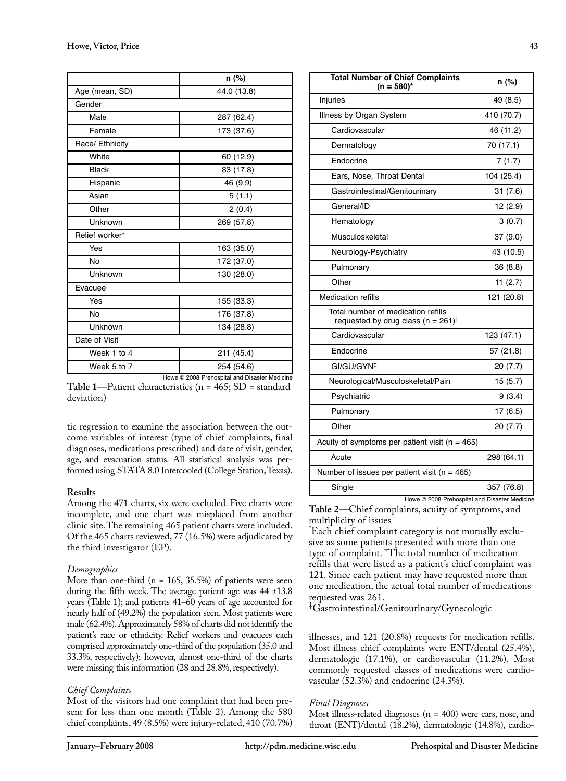| n (%)                                         |  |  |  |  |  |  |
|-----------------------------------------------|--|--|--|--|--|--|
| 44.0 (13.8)                                   |  |  |  |  |  |  |
| Gender                                        |  |  |  |  |  |  |
| 287 (62.4)                                    |  |  |  |  |  |  |
| 173 (37.6)                                    |  |  |  |  |  |  |
| Race/ Ethnicity                               |  |  |  |  |  |  |
| 60 (12.9)                                     |  |  |  |  |  |  |
| 83 (17.8)                                     |  |  |  |  |  |  |
| 46 (9.9)                                      |  |  |  |  |  |  |
| 5(1.1)                                        |  |  |  |  |  |  |
| 2(0.4)                                        |  |  |  |  |  |  |
| 269 (57.8)                                    |  |  |  |  |  |  |
|                                               |  |  |  |  |  |  |
| 163 (35.0)                                    |  |  |  |  |  |  |
| 172 (37.0)                                    |  |  |  |  |  |  |
| 130 (28.0)                                    |  |  |  |  |  |  |
|                                               |  |  |  |  |  |  |
| 155 (33.3)                                    |  |  |  |  |  |  |
| 176 (37.8)                                    |  |  |  |  |  |  |
| 134 (28.8)                                    |  |  |  |  |  |  |
| Date of Visit                                 |  |  |  |  |  |  |
| 211 (45.4)                                    |  |  |  |  |  |  |
| 254 (54.6)                                    |  |  |  |  |  |  |
| Howe @ 2008 Probospital and Disastor Modicino |  |  |  |  |  |  |

**Table 1**—Patient characteristics (n = 465; SD = standard deviation) Howe © 2008 Prehospital and Disaster Medicine

tic regression to examine the association between the outcome variables of interest (type of chief complaints, final diagnoses, medications prescribed) and date of visit, gender, age, and evacuation status. All statistical analysis was performed using STATA 8.0 Intercooled (College Station,Texas).

## **Results**

Among the 471 charts, six were excluded. Five charts were incomplete, and one chart was misplaced from another clinic site.The remaining 465 patient charts were included. Of the 465 charts reviewed, 77 (16.5%) were adjudicated by the third investigator (EP).

## *Demographics*

More than one-third ( $n = 165, 35.5\%$ ) of patients were seen during the fifth week. The average patient age was 44 ±13.8 years (Table 1); and patients 41–60 years of age accounted for nearly half of (49.2%) the population seen. Most patients were male (62.4%).Approximately 58% of charts did not identify the patient's race or ethnicity. Relief workers and evacuees each comprised approximately one-third of the population (35.0 and 33.3%, respectively); however, almost one-third of the charts were missing this information (28 and 28.8%, respectively).

## *Chief Complaints*

Most of the visitors had one complaint that had been present for less than one month (Table 2). Among the 580 chief complaints, 49 (8.5%) were injury-related, 410 (70.7%)

| <b>Total Number of Chief Complaints</b><br>$(n = 580)^*$                             | n (%)      |
|--------------------------------------------------------------------------------------|------------|
| <b>Injuries</b>                                                                      | 49 (8.5)   |
| Illness by Organ System                                                              | 410 (70.7) |
| Cardiovascular                                                                       | 46 (11.2)  |
| Dermatology                                                                          | 70 (17.1)  |
| Endocrine                                                                            | 7(1.7)     |
| Ears, Nose, Throat Dental                                                            | 104 (25.4) |
| Gastrointestinal/Genitourinary                                                       | 31(7.6)    |
| General/ID                                                                           | 12(2.9)    |
| Hematology                                                                           | 3(0.7)     |
| Musculoskeletal                                                                      | 37(9.0)    |
| Neurology-Psychiatry                                                                 | 43 (10.5)  |
| Pulmonary                                                                            | 36(8.8)    |
| Other                                                                                | 11(2.7)    |
| <b>Medication refills</b>                                                            | 121 (20.8) |
| Total number of medication refills<br>requested by drug class (n = 261) <sup>†</sup> |            |
| Cardiovascular                                                                       | 123 (47.1) |
| Endocrine                                                                            | 57 (21.8)  |
| GI/GU/GYN <sup>‡</sup>                                                               | 20 (7.7)   |
| Neurological/Musculoskeletal/Pain                                                    | 15(5.7)    |
| Psychiatric                                                                          | 9(3.4)     |
| Pulmonary                                                                            | 17(6.5)    |
| Other                                                                                | 20 (7.7)   |
| Acuity of symptoms per patient visit ( $n = 465$ )                                   |            |
| Acute                                                                                | 298 (64.1) |
| Number of issues per patient visit ( $n = 465$ )                                     |            |
| Single                                                                               | 357 (76.8) |

Howe © 2008 Prehospital and Disaster Medicine

**Table 2**—Chief complaints, acuity of symptoms, and multiplicity of issues

\* Each chief complaint category is not mutually exclusive as some patients presented with more than one type of complaint. †The total number of medication refills that were listed as a patient's chief complaint was 121. Since each patient may have requested more than one medication, the actual total number of medications requested was 261.

‡Gastrointestinal/Genitourinary/Gynecologic

illnesses, and 121 (20.8%) requests for medication refills. Most illness chief complaints were ENT/dental (25.4%), dermatologic (17.1%), or cardiovascular (11.2%). Most commonly requested classes of medications were cardiovascular (52.3%) and endocrine (24.3%).

### *Final Diagnoses*

Most illness-related diagnoses (n = 400) were ears, nose, and throat (ENT)/dental (18.2%), dermatologic (14.8%), cardio-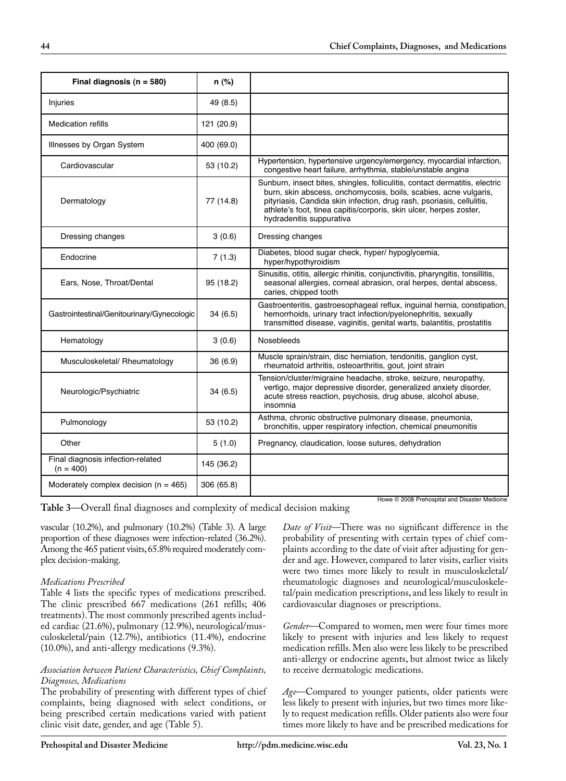| Final diagnosis ( $n = 580$ )                    | n (%)      |                                                                                                                                                                                                                                                                                                                            |
|--------------------------------------------------|------------|----------------------------------------------------------------------------------------------------------------------------------------------------------------------------------------------------------------------------------------------------------------------------------------------------------------------------|
| Injuries                                         | 49 (8.5)   |                                                                                                                                                                                                                                                                                                                            |
| <b>Medication refills</b>                        | 121 (20.9) |                                                                                                                                                                                                                                                                                                                            |
| Illnesses by Organ System                        | 400 (69.0) |                                                                                                                                                                                                                                                                                                                            |
| Cardiovascular                                   | 53 (10.2)  | Hypertension, hypertensive urgency/emergency, myocardial infarction,<br>congestive heart failure, arrhythmia, stable/unstable angina                                                                                                                                                                                       |
| Dermatology                                      | 77 (14.8)  | Sunburn, insect bites, shingles, folliculitis, contact dermatitis, electric<br>burn, skin abscess, onchomycosis, boils, scabies, acne vulgaris,<br>pityriasis, Candida skin infection, drug rash, psoriasis, cellulitis,<br>athlete's foot, tinea capitis/corporis, skin ulcer, herpes zoster,<br>hydradenitis suppurativa |
| Dressing changes                                 | 3(0.6)     | Dressing changes                                                                                                                                                                                                                                                                                                           |
| Endocrine                                        | 7(1.3)     | Diabetes, blood sugar check, hyper/ hypoglycemia,<br>hyper/hypothyroidism                                                                                                                                                                                                                                                  |
| Ears, Nose, Throat/Dental                        | 95 (18.2)  | Sinusitis, otitis, allergic rhinitis, conjunctivitis, pharyngitis, tonsillitis,<br>seasonal allergies, corneal abrasion, oral herpes, dental abscess,<br>caries, chipped tooth                                                                                                                                             |
| Gastrointestinal/Genitourinary/Gynecologic       | 34(6.5)    | Gastroenteritis, gastroesophageal reflux, inguinal hernia, constipation,<br>hemorrhoids, urinary tract infection/pyelonephritis, sexually<br>transmitted disease, vaginitis, genital warts, balantitis, prostatitis                                                                                                        |
| Hematology                                       | 3(0.6)     | Nosebleeds                                                                                                                                                                                                                                                                                                                 |
| Musculoskeletal/ Rheumatology                    | 36(6.9)    | Muscle sprain/strain, disc herniation, tendonitis, ganglion cyst,<br>rheumatoid arthritis, osteoarthritis, gout, joint strain                                                                                                                                                                                              |
| Neurologic/Psychiatric                           | 34(6.5)    | Tension/cluster/migraine headache, stroke, seizure, neuropathy,<br>vertigo, major depressive disorder, generalized anxiety disorder,<br>acute stress reaction, psychosis, drug abuse, alcohol abuse,<br>insomnia                                                                                                           |
| Pulmonology                                      | 53 (10.2)  | Asthma, chronic obstructive pulmonary disease, pneumonia,<br>bronchitis, upper respiratory infection, chemical pneumonitis                                                                                                                                                                                                 |
| Other                                            | 5(1.0)     | Pregnancy, claudication, loose sutures, dehydration                                                                                                                                                                                                                                                                        |
| Final diagnosis infection-related<br>$(n = 400)$ | 145 (36.2) |                                                                                                                                                                                                                                                                                                                            |
| Moderately complex decision ( $n = 465$ )        | 306 (65.8) |                                                                                                                                                                                                                                                                                                                            |
|                                                  |            | Howe © 2008 Prehospital and Disaster Medicine                                                                                                                                                                                                                                                                              |

**Table 3**—Overall final diagnoses and complexity of medical decision making

vascular (10.2%), and pulmonary (10.2%) (Table 3). A large proportion of these diagnoses were infection-related (36.2%). Among the 465 patient visits,65.8% required moderately complex decision-making.

## *Medications Prescribed*

Table 4 lists the specific types of medications prescribed. The clinic prescribed 667 medications (261 refills; 406 treatments).The most commonly prescribed agents included cardiac (21.6%), pulmonary (12.9%), neurological/musculoskeletal/pain (12.7%), antibiotics (11.4%), endocrine (10.0%), and anti-allergy medications (9.3%).

## *Association between Patient Characteristics, Chief Complaints, Diagnoses, Medications*

The probability of presenting with different types of chief complaints, being diagnosed with select conditions, or being prescribed certain medications varied with patient clinic visit date, gender, and age (Table 5).

*Date of Visit*—There was no significant difference in the probability of presenting with certain types of chief complaints according to the date of visit after adjusting for gender and age. However, compared to later visits, earlier visits were two times more likely to result in musculoskeletal/ rheumatologic diagnoses and neurological/musculoskeletal/pain medication prescriptions, and less likely to result in

*Gender*—Compared to women, men were four times more likely to present with injuries and less likely to request medication refills. Men also were less likely to be prescribed anti-allergy or endocrine agents, but almost twice as likely to receive dermatologic medications.

cardiovascular diagnoses or prescriptions.

*Age*—Compared to younger patients, older patients were less likely to present with injuries, but two times more likely to request medication refills. Older patients also were four times more likely to have and be prescribed medications for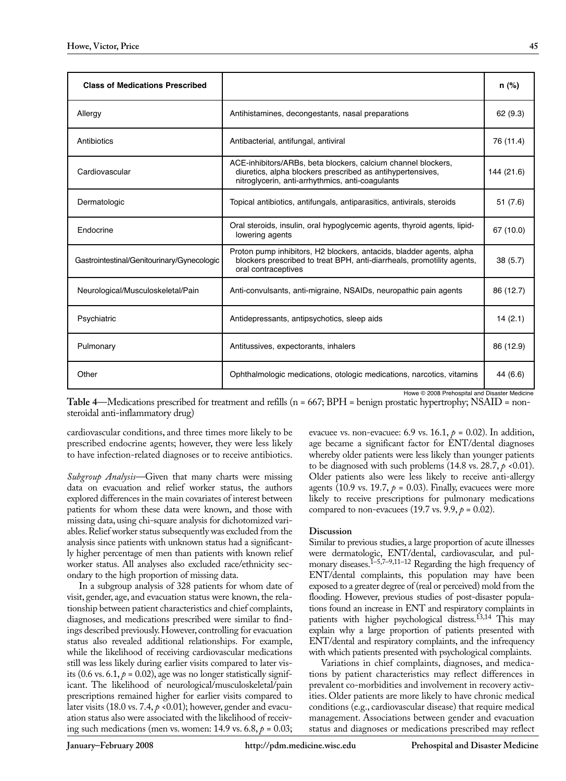| <b>Class of Medications Prescribed</b>     |                                                                                                                                                                                 | $n (\%)$   |
|--------------------------------------------|---------------------------------------------------------------------------------------------------------------------------------------------------------------------------------|------------|
| Allergy                                    | Antihistamines, decongestants, nasal preparations                                                                                                                               | 62 (9.3)   |
| Antibiotics                                | Antibacterial, antifungal, antiviral                                                                                                                                            | 76 (11.4)  |
| Cardiovascular                             | ACE-inhibitors/ARBs, beta blockers, calcium channel blockers,<br>diuretics, alpha blockers prescribed as antihypertensives,<br>nitroglycerin, anti-arrhythmics, anti-coagulants | 144 (21.6) |
| Dermatologic                               | Topical antibiotics, antifungals, antiparasitics, antivirals, steroids                                                                                                          | 51(7.6)    |
| Endocrine                                  | Oral steroids, insulin, oral hypoglycemic agents, thyroid agents, lipid-<br>lowering agents                                                                                     | 67 (10.0)  |
| Gastrointestinal/Genitourinary/Gynecologic | Proton pump inhibitors, H2 blockers, antacids, bladder agents, alpha<br>blockers prescribed to treat BPH, anti-diarrheals, promotility agents,<br>oral contraceptives           | 38(5.7)    |
| Neurological/Musculoskeletal/Pain          | Anti-convulsants, anti-migraine, NSAIDs, neuropathic pain agents                                                                                                                | 86 (12.7)  |
| Psychiatric                                | Antidepressants, antipsychotics, sleep aids                                                                                                                                     | 14(2.1)    |
| Pulmonary                                  | Antitussives, expectorants, inhalers                                                                                                                                            | 86 (12.9)  |
| Other                                      | Ophthalmologic medications, otologic medications, narcotics, vitamins                                                                                                           | 44 (6.6)   |

Howe © 2008 Prehospital and Disaster Medicine

**Table 4**—Medications prescribed for treatment and refills (n = 667; BPH = benign prostatic hypertrophy; NSAID = nonsteroidal anti-inflammatory drug)

cardiovascular conditions, and three times more likely to be prescribed endocrine agents; however, they were less likely to have infection-related diagnoses or to receive antibiotics.

*Subgroup Analysis*—Given that many charts were missing data on evacuation and relief worker status, the authors explored differences in the main covariates of interest between patients for whom these data were known, and those with missing data, using chi-square analysis for dichotomized variables.Relief worker status subsequently was excluded from the analysis since patients with unknown status had a significantly higher percentage of men than patients with known relief worker status. All analyses also excluded race/ethnicity secondary to the high proportion of missing data.

In a subgroup analysis of 328 patients for whom date of visit, gender, age, and evacuation status were known, the relationship between patient characteristics and chief complaints, diagnoses, and medications prescribed were similar to findings described previously. However, controlling for evacuation status also revealed additional relationships. For example, while the likelihood of receiving cardiovascular medications still was less likely during earlier visits compared to later visits (0.6 vs.  $6.1, p = 0.02$ ), age was no longer statistically significant. The likelihood of neurological/musculoskeletal/pain prescriptions remained higher for earlier visits compared to later visits  $(18.0 \text{ vs. } 7.4, \rho \le 0.01)$ ; however, gender and evacuation status also were associated with the likelihood of receiving such medications (men vs. women:  $14.9$  vs.  $6.8, p = 0.03$ ;

evacuee vs. non-evacuee: 6.9 vs. 16.1,  $p = 0.02$ ). In addition, age became a significant factor for ENT/dental diagnoses whereby older patients were less likely than younger patients to be diagnosed with such problems  $(14.8 \text{ vs. } 28.7, p \le 0.01)$ . Older patients also were less likely to receive anti-allergy agents (10.9 vs. 19.7,  $p = 0.03$ ). Finally, evacuees were more likely to receive prescriptions for pulmonary medications compared to non-evacuees (19.7 vs.  $9.9, p = 0.02$ ).

### **Discussion**

Similar to previous studies, a large proportion of acute illnesses were dermatologic, ENT/dental, cardiovascular, and pulmonary diseases.<sup> $1-5,7-9,11-12$ </sup> Regarding the high frequency of ENT/dental complaints, this population may have been exposed to a greater degree of (real or perceived) mold from the flooding. However, previous studies of post-disaster populations found an increase in ENT and respiratory complaints in patients with higher psychological distress.<sup>13,14</sup> This may explain why a large proportion of patients presented with ENT/dental and respiratory complaints, and the infrequency with which patients presented with psychological complaints.

Variations in chief complaints, diagnoses, and medications by patient characteristics may reflect differences in prevalent co-morbidities and involvement in recovery activities. Older patients are more likely to have chronic medical conditions (e.g., cardiovascular disease) that require medical management. Associations between gender and evacuation status and diagnoses or medications prescribed may reflect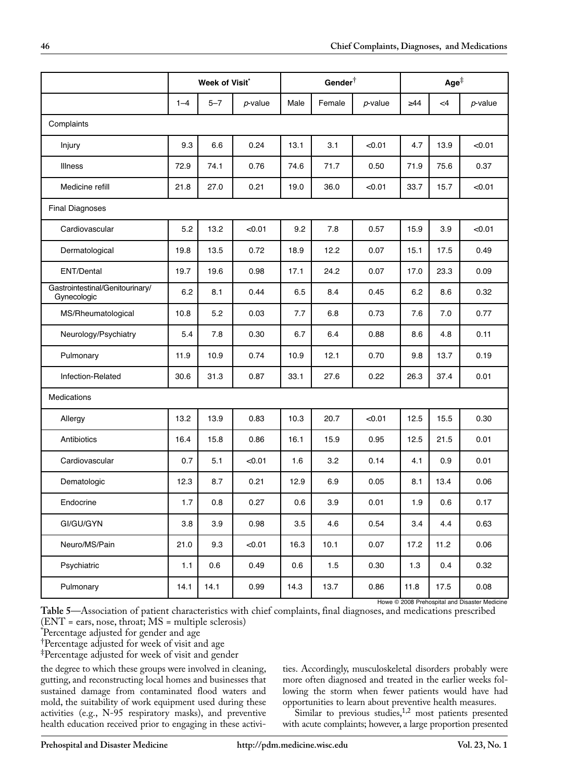|                                                | Week of Visit <sup>*</sup> |         | Gender $^\dagger$ |         |        | Age <sup>‡</sup> |      |       |         |  |
|------------------------------------------------|----------------------------|---------|-------------------|---------|--------|------------------|------|-------|---------|--|
|                                                | $1 - 4$                    | $5 - 7$ | $p$ -value        | Male    | Female | $p$ -value       | >44  | $<$ 4 | p-value |  |
| Complaints                                     |                            |         |                   |         |        |                  |      |       |         |  |
| Injury                                         | 9.3                        | 6.6     | 0.24              | 13.1    | 3.1    | < 0.01           | 4.7  | 13.9  | < 0.01  |  |
| <b>Illness</b>                                 | 72.9                       | 74.1    | 0.76              | 74.6    | 71.7   | 0.50             | 71.9 | 75.6  | 0.37    |  |
| Medicine refill                                | 21.8                       | 27.0    | 0.21              | 19.0    | 36.0   | < 0.01           | 33.7 | 15.7  | < 0.01  |  |
| <b>Final Diagnoses</b>                         |                            |         |                   |         |        |                  |      |       |         |  |
| Cardiovascular                                 | 5.2                        | 13.2    | < 0.01            | 9.2     | 7.8    | 0.57             | 15.9 | 3.9   | < 0.01  |  |
| Dermatological                                 | 19.8                       | 13.5    | 0.72              | 18.9    | 12.2   | 0.07             | 15.1 | 17.5  | 0.49    |  |
| <b>ENT/Dental</b>                              | 19.7                       | 19.6    | 0.98              | 17.1    | 24.2   | 0.07             | 17.0 | 23.3  | 0.09    |  |
| Gastrointestinal/Genitourinary/<br>Gynecologic | 6.2                        | 8.1     | 0.44              | 6.5     | 8.4    | 0.45             | 6.2  | 8.6   | 0.32    |  |
| MS/Rheumatological                             | 10.8                       | 5.2     | 0.03              | 7.7     | 6.8    | 0.73             | 7.6  | 7.0   | 0.77    |  |
| Neurology/Psychiatry                           | 5.4                        | 7.8     | 0.30              | 6.7     | 6.4    | 0.88             | 8.6  | 4.8   | 0.11    |  |
| Pulmonary                                      | 11.9                       | 10.9    | 0.74              | 10.9    | 12.1   | 0.70             | 9.8  | 13.7  | 0.19    |  |
| Infection-Related                              | 30.6                       | 31.3    | 0.87              | 33.1    | 27.6   | 0.22             | 26.3 | 37.4  | 0.01    |  |
| Medications                                    |                            |         |                   |         |        |                  |      |       |         |  |
| Allergy                                        | 13.2                       | 13.9    | 0.83              | 10.3    | 20.7   | < 0.01           | 12.5 | 15.5  | 0.30    |  |
| Antibiotics                                    | 16.4                       | 15.8    | 0.86              | 16.1    | 15.9   | 0.95             | 12.5 | 21.5  | 0.01    |  |
| Cardiovascular                                 | 0.7                        | 5.1     | < 0.01            | 1.6     | 3.2    | 0.14             | 4.1  | 0.9   | 0.01    |  |
| Dematologic                                    | 12.3                       | 8.7     | 0.21              | 12.9    | 6.9    | 0.05             | 8.1  | 13.4  | 0.06    |  |
| Endocrine                                      | 1.7                        | 0.8     | 0.27              | 0.6     | 3.9    | 0.01             | 1.9  | 0.6   | 0.17    |  |
| GI/GU/GYN                                      | 3.8                        | 3.9     | 0.98              | $3.5\,$ | 4.6    | 0.54             | 3.4  | 4.4   | 0.63    |  |
| Neuro/MS/Pain                                  | 21.0                       | 9.3     | < 0.01            | 16.3    | 10.1   | 0.07             | 17.2 | 11.2  | 0.06    |  |
| Psychiatric                                    | 1.1                        | 0.6     | 0.49              | 0.6     | 1.5    | 0.30             | 1.3  | 0.4   | 0.32    |  |
| Pulmonary                                      | 14.1                       | 14.1    | 0.99              | 14.3    | 13.7   | 0.86             | 11.8 | 17.5  | 0.08    |  |

**Table 5**—Association of patient characteristics with chief complaints, final diagnoses, and medications prescribed (ENT = ears, nose, throat; MS = multiple sclerosis)

\* Percentage adjusted for gender and age

†Percentage adjusted for week of visit and age

‡Percentage adjusted for week of visit and gender

the degree to which these groups were involved in cleaning, gutting, and reconstructing local homes and businesses that sustained damage from contaminated flood waters and mold, the suitability of work equipment used during these activities (e.g., N-95 respiratory masks), and preventive health education received prior to engaging in these activities. Accordingly, musculoskeletal disorders probably were more often diagnosed and treated in the earlier weeks following the storm when fewer patients would have had opportunities to learn about preventive health measures.

Similar to previous studies, $1,2$  most patients presented with acute complaints; however, a large proportion presented